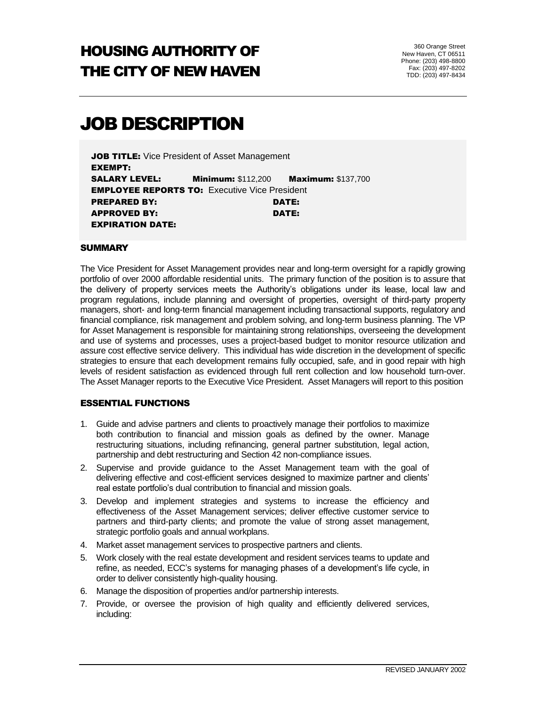## HOUSING AUTHORITY OF THE CITY OF NEW HAVEN

360 Orange Street New Haven, CT 06511 Phone: (203) 498-8800 Fax: (203) 497-8202 TDD: (203) 497-8434

# JOB DESCRIPTION

JOB TITLE: Vice President of Asset Management EXEMPT: SALARY LEVEL: Minimum: \$112,200 Maximum: \$137,700 **EMPLOYEE REPORTS TO:** Executive Vice President PREPARED BY: DATE: APPROVED BY: DATE: EXPIRATION DATE:

#### **SUMMARY**

The Vice President for Asset Management provides near and long-term oversight for a rapidly growing portfolio of over 2000 affordable residential units. The primary function of the position is to assure that the delivery of property services meets the Authority's obligations under its lease, local law and program regulations, include planning and oversight of properties, oversight of third-party property managers, short- and long-term financial management including transactional supports, regulatory and financial compliance, risk management and problem solving, and long-term business planning. The VP for Asset Management is responsible for maintaining strong relationships, overseeing the development and use of systems and processes, uses a project-based budget to monitor resource utilization and assure cost effective service delivery. This individual has wide discretion in the development of specific strategies to ensure that each development remains fully occupied, safe, and in good repair with high levels of resident satisfaction as evidenced through full rent collection and low household turn-over. The Asset Manager reports to the Executive Vice President. Asset Managers will report to this position

#### ESSENTIAL FUNCTIONS

- 1. Guide and advise partners and clients to proactively manage their portfolios to maximize both contribution to financial and mission goals as defined by the owner. Manage restructuring situations, including refinancing, general partner substitution, legal action, partnership and debt restructuring and Section 42 non-compliance issues.
- 2. Supervise and provide guidance to the Asset Management team with the goal of delivering effective and cost-efficient services designed to maximize partner and clients' real estate portfolio's dual contribution to financial and mission goals.
- 3. Develop and implement strategies and systems to increase the efficiency and effectiveness of the Asset Management services; deliver effective customer service to partners and third-party clients; and promote the value of strong asset management, strategic portfolio goals and annual workplans.
- 4. Market asset management services to prospective partners and clients.
- 5. Work closely with the real estate development and resident services teams to update and refine, as needed, ECC's systems for managing phases of a development's life cycle, in order to deliver consistently high-quality housing.
- 6. Manage the disposition of properties and/or partnership interests.
- 7. Provide, or oversee the provision of high quality and efficiently delivered services, including: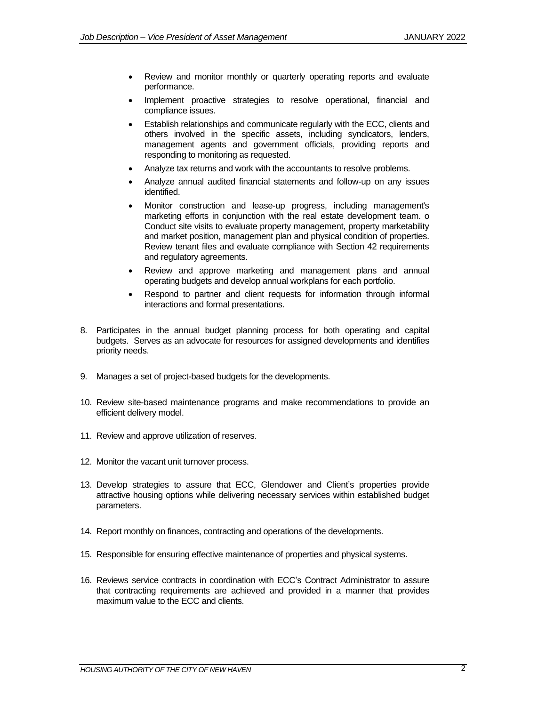- Review and monitor monthly or quarterly operating reports and evaluate performance.
- Implement proactive strategies to resolve operational, financial and compliance issues.
- Establish relationships and communicate regularly with the ECC, clients and others involved in the specific assets, including syndicators, lenders, management agents and government officials, providing reports and responding to monitoring as requested.
- Analyze tax returns and work with the accountants to resolve problems.
- Analyze annual audited financial statements and follow-up on any issues identified.
- Monitor construction and lease-up progress, including management's marketing efforts in conjunction with the real estate development team. o Conduct site visits to evaluate property management, property marketability and market position, management plan and physical condition of properties. Review tenant files and evaluate compliance with Section 42 requirements and regulatory agreements.
- Review and approve marketing and management plans and annual operating budgets and develop annual workplans for each portfolio.
- Respond to partner and client requests for information through informal interactions and formal presentations.
- 8. Participates in the annual budget planning process for both operating and capital budgets. Serves as an advocate for resources for assigned developments and identifies priority needs.
- 9. Manages a set of project-based budgets for the developments.
- 10. Review site-based maintenance programs and make recommendations to provide an efficient delivery model.
- 11. Review and approve utilization of reserves.
- 12. Monitor the vacant unit turnover process.
- 13. Develop strategies to assure that ECC, Glendower and Client's properties provide attractive housing options while delivering necessary services within established budget parameters.
- 14. Report monthly on finances, contracting and operations of the developments.
- 15. Responsible for ensuring effective maintenance of properties and physical systems.
- 16. Reviews service contracts in coordination with ECC's Contract Administrator to assure that contracting requirements are achieved and provided in a manner that provides maximum value to the ECC and clients.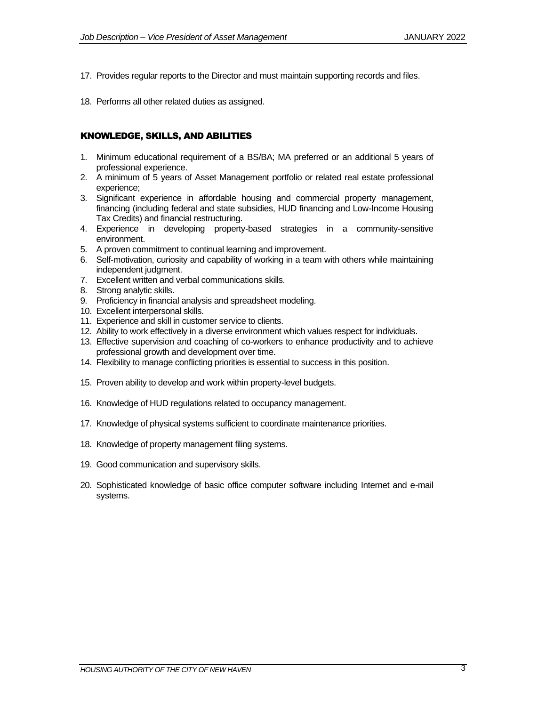- 17. Provides regular reports to the Director and must maintain supporting records and files.
- 18. Performs all other related duties as assigned.

## KNOWLEDGE, SKILLS, AND ABILITIES

- 1. Minimum educational requirement of a BS/BA; MA preferred or an additional 5 years of professional experience.
- 2. A minimum of 5 years of Asset Management portfolio or related real estate professional experience;
- 3. Significant experience in affordable housing and commercial property management, financing (including federal and state subsidies, HUD financing and Low-Income Housing Tax Credits) and financial restructuring.
- 4. Experience in developing property-based strategies in a community-sensitive environment.
- 5. A proven commitment to continual learning and improvement.
- 6. Self-motivation, curiosity and capability of working in a team with others while maintaining independent judgment.
- 7. Excellent written and verbal communications skills.
- 8. Strong analytic skills.
- 9. Proficiency in financial analysis and spreadsheet modeling.
- 10. Excellent interpersonal skills.
- 11. Experience and skill in customer service to clients.
- 12. Ability to work effectively in a diverse environment which values respect for individuals.
- 13. Effective supervision and coaching of co-workers to enhance productivity and to achieve professional growth and development over time.
- 14. Flexibility to manage conflicting priorities is essential to success in this position.
- 15. Proven ability to develop and work within property-level budgets.
- 16. Knowledge of HUD regulations related to occupancy management.
- 17. Knowledge of physical systems sufficient to coordinate maintenance priorities.
- 18. Knowledge of property management filing systems.
- 19. Good communication and supervisory skills.
- 20. Sophisticated knowledge of basic office computer software including Internet and e-mail systems.